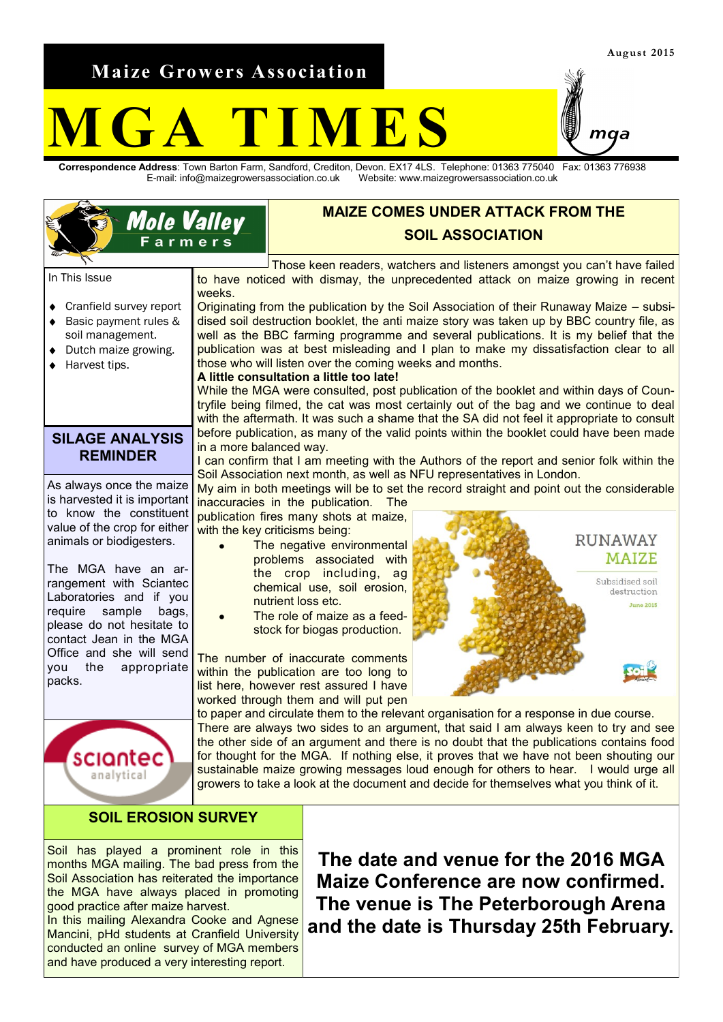**Maize Growers Association**

# **M G A T I M E S**

**Correspondence Address**: Town Barton Farm, Sandford, Crediton, Devon. EX17 4LS. Telephone: 01363 775040 Fax: 01363 776938 E-mail: info@maizegrowersassociation.co.uk Website: www.maizegrowersassociation.co.uk

#### **MAIZE COMES UNDER ATTACK FROM THE Mole Valley SOIL ASSOCIATION** Farmers Those keen readers, watchers and listeners amongst you can't have failed In This Issue to have noticed with dismay, the unprecedented attack on maize growing in recent weeks. Cranfield survey report Originating from the publication by the Soil Association of their Runaway Maize – subsi- $\blacklozenge$ dised soil destruction booklet, the anti maize story was taken up by BBC country file, as Basic payment rules & soil management. well as the BBC farming programme and several publications. It is my belief that the publication was at best misleading and I plan to make my dissatisfaction clear to all Dutch maize growing. those who will listen over the coming weeks and months. Harvest tips. **A little consultation a little too late!** While the MGA were consulted, post publication of the booklet and within days of Countryfile being filmed, the cat was most certainly out of the bag and we continue to deal with the aftermath. It was such a shame that the SA did not feel it appropriate to consult before publication, as many of the valid points within the booklet could have been made **SILAGE ANALYSIS** in a more balanced way. **REMINDER** I can confirm that I am meeting with the Authors of the report and senior folk within the Soil Association next month, as well as NFU representatives in London. As always once the maize My aim in both meetings will be to set the record straight and point out the considerable is harvested it is important inaccuracies in the publication. The to know the constituent publication fires many shots at maize, value of the crop for either  $\frac{1}{1}$  with the key criticisms being: **RUNAWAY** animals or biodigesters. The negative environmental **MAIZE** problems associated with The MGA have an arthe crop including, ag Subsidised soil rangement with Sciantec chemical use, soil erosion, destruction Laboratories and if you nutrient loss etc. **June 2015** require sample bags, The role of maize as a feedplease do not hesitate to stock for biogas production. contact Jean in the MGA Office and she will send The number of inaccurate comments you the appropriate within the publication are too long to packs. list here, however rest assured I have worked through them and will put pen to paper and circulate them to the relevant organisation for a response in due course. There are always two sides to an argument, that said I am always keen to try and see the other side of an argument and there is no doubt that the publications contains food for thought for the MGA. If nothing else, it proves that we have not been shouting our sciantec sustainable maize growing messages loud enough for others to hear. I would urge all analytical growers to take a look at the document and decide for themselves what you think of it. **SOIL EROSION SURVEY**

Soil has played a prominent role in this months MGA mailing. The bad press from the Soil Association has reiterated the importance the MGA have always placed in promoting good practice after maize harvest.

In this mailing Alexandra Cooke and Agnese Mancini, pHd students at Cranfield University conducted an online survey of MGA members and have produced a very interesting report.

**The date and venue for the 2016 MGA Maize Conference are now confirmed. The venue is The Peterborough Arena and the date is Thursday 25th February.**